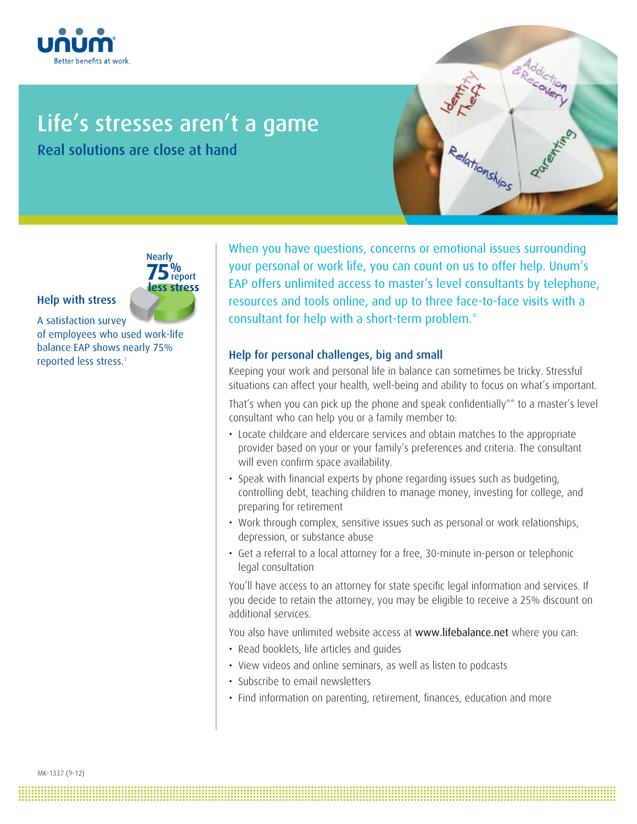

# Life's stresses aren't a game

Real solutions are close at hand





## Help with stress

A satisfaction survey of employees who used work-life balance EAP shows nearly 75% reported less stress.<sup>1</sup>

When you have questions, concerns or emotional issues surrounding your personal or work life, you can count on us to offer help. Unum's EAP offers unlimited access to master's level consultants by telephone, resources and tools online, and up to three face-to-face visits with a consultant for help with a short-term problem.\*

## Help for personal challenges, big and small

Keeping your work and personal life in balance can sometimes be tricky. Stressful situations can affect your health, well-being and ability to focus on what's important.

That's when you can pick up the phone and speak confidentially\*\* to a master's level consultant who can help you or a family member to:

- Locate childcare and eldercare services and obtain matches to the appropriate provider based on your or your family's preferences and criteria. The consultant will even confirm space availability.
- Speak with financial experts by phone regarding issues such as budgeting, controlling debt, teaching children to manage money, investing for college, and preparing for retirement
- Work through complex, sensitive issues such as personal or work relationships, depression, or substance abuse
- Get a referral to a local attorney for a free, 30-minute in-person or telephonic legal consultation

You'll have access to an attorney for state specific legal information and services. If you decide to retain the attorney, you may be eligible to receive a 25% discount on additional services.

You also have unlimited website access at www.lifebalance.net where you can:

• Read booklets, life articles and guides

**.......................................................................................................................................................................................... .......................................................................................................................................................................................... .......................................................................................................................................................................................... .......................................................................................................................................................................................... ..........................................................................................................................................................................................**

- View videos and online seminars, as well as listen to podcasts
- Subscribe to email newsletters
- Find information on parenting, retirement, finances, education and more